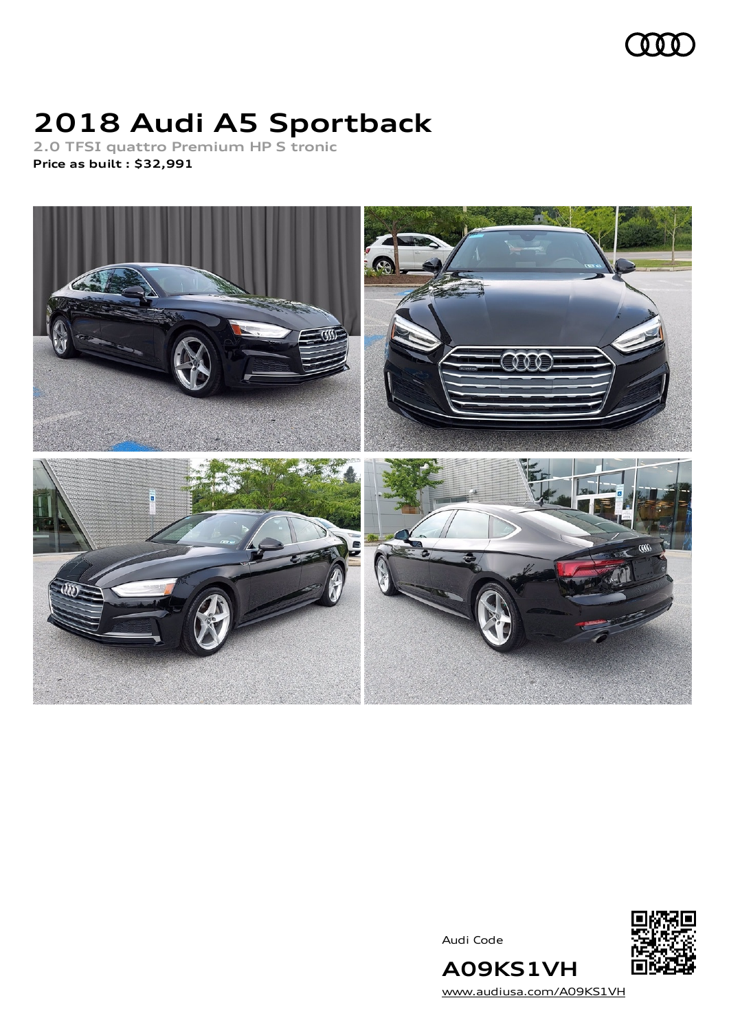

# **2018 Audi A5 Sportback**

**2.0 TFSI quattro Premium HP S tronic Price as built [:](#page-10-0) \$32,991**



Audi Code



[www.audiusa.com/A09KS1VH](https://www.audiusa.com/A09KS1VH)

**A09KS1VH**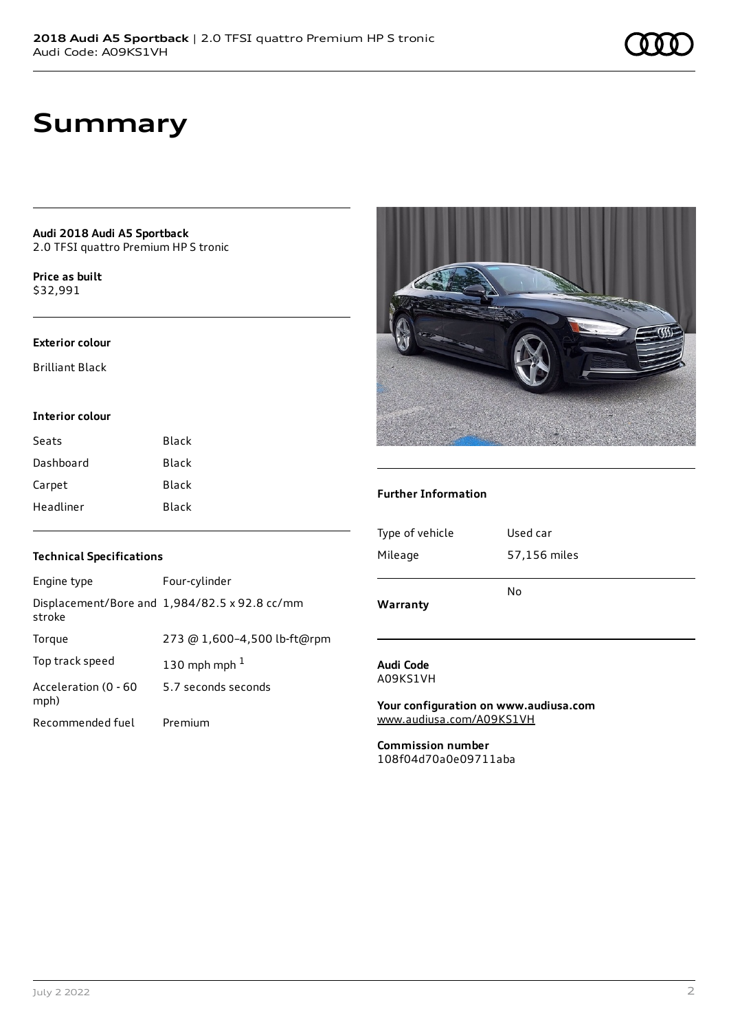## **Summary**

**Audi 2018 Audi A5 Sportback** 2.0 TFSI quattro Premium HP S tronic

**Price as buil[t](#page-10-0)** \$32,991

#### **Exterior colour**

Brilliant Black

### **Interior colour**

| Seats     | Black |
|-----------|-------|
| Dashboard | Black |
| Carpet    | Black |
| Headliner | Black |



#### **Further Information**

| <b>Technical Specifications</b> |                                               |  |
|---------------------------------|-----------------------------------------------|--|
| Engine type                     | Four-cylinder                                 |  |
| stroke                          | Displacement/Bore and 1,984/82.5 x 92.8 cc/mm |  |
| Torque                          | 273 @ 1,600-4,500 lb-ft@rpm                   |  |
| Top track speed                 | 130 mph mph $1$                               |  |
| Acceleration (0 - 60<br>mph)    | 5.7 seconds seconds                           |  |
| Recommended fuel                | Premium                                       |  |

| Warranty        |              |
|-----------------|--------------|
|                 | No           |
| Mileage         | 57,156 miles |
|                 |              |
| Type of vehicle | Used car     |
|                 |              |

#### **Audi Code** A09KS1VH

**Your configuration on www.audiusa.com** [www.audiusa.com/A09KS1VH](https://www.audiusa.com/A09KS1VH)

**Commission number** 108f04d70a0e09711aba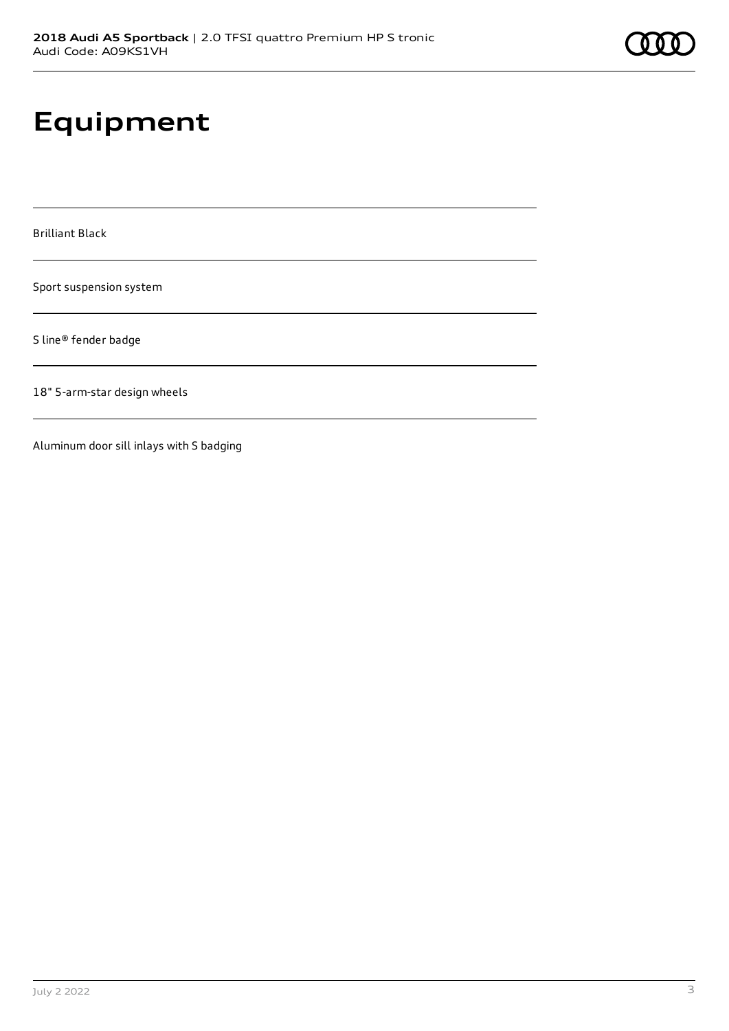# **Equipment**

Brilliant Black

Sport suspension system

S line® fender badge

18" 5-arm-star design wheels

Aluminum door sill inlays with S badging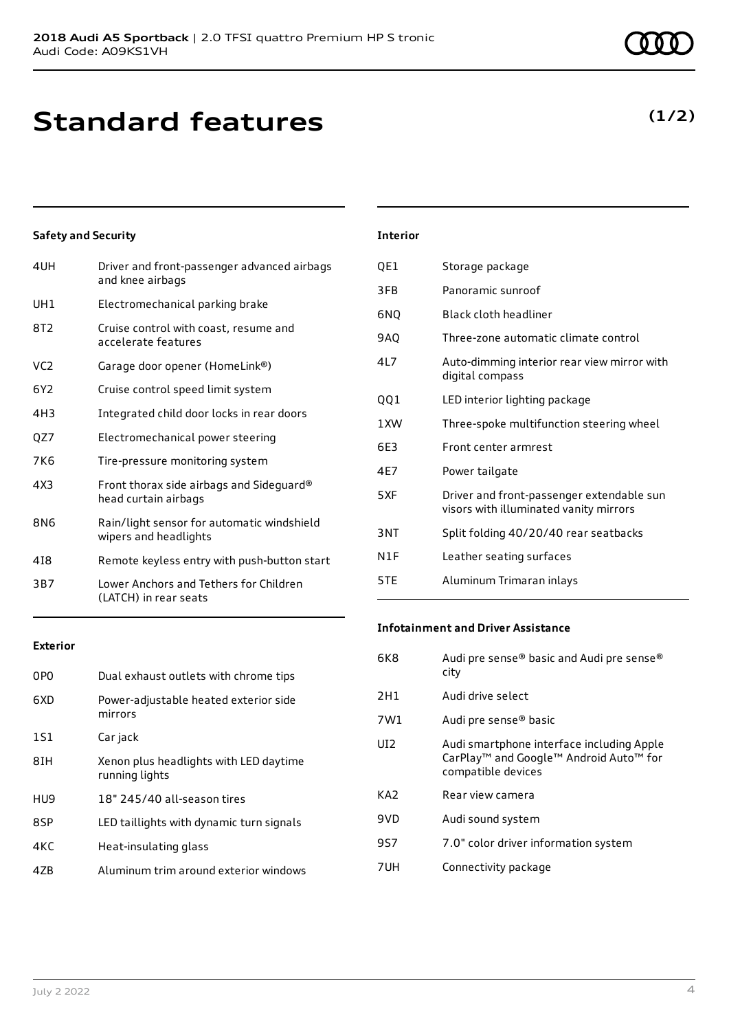## **Standard features**

## **Safety and Security**

| 4UH             | Driver and front-passenger advanced airbags<br>and knee airbags     |
|-----------------|---------------------------------------------------------------------|
| UH1             | Electromechanical parking brake                                     |
| 8T2             | Cruise control with coast, resume and<br>accelerate features        |
| VC <sub>2</sub> | Garage door opener (HomeLink®)                                      |
| 6Y2             | Cruise control speed limit system                                   |
| 4H3             | Integrated child door locks in rear doors                           |
| QZ7             | Electromechanical power steering                                    |
| 7K6             | Tire-pressure monitoring system                                     |
| 4X3             | Front thorax side airbags and Sideguard®<br>head curtain airbags    |
| 8N6             | Rain/light sensor for automatic windshield<br>wipers and headlights |
| 418             | Remote keyless entry with push-button start                         |
| 3B7             | Lower Anchors and Tethers for Children<br>(LATCH) in rear seats     |

### **Exterior**

| 0P <sub>0</sub> | Dual exhaust outlets with chrome tips                    |
|-----------------|----------------------------------------------------------|
| 6XD             | Power-adjustable heated exterior side<br>mirrors         |
| 1S1             | Car jack                                                 |
| 8IH             | Xenon plus headlights with LED daytime<br>running lights |
| HU9             | 18" 245/40 all-season tires                              |
| 8SP             | LED taillights with dynamic turn signals                 |
| 4KC             | Heat-insulating glass                                    |
| 47B             | Aluminum trim around exterior windows                    |
|                 |                                                          |

### **Interior**

| QE1  | Storage package                                                                     |
|------|-------------------------------------------------------------------------------------|
| 3FB  | Panoramic sunroof                                                                   |
| 6NQ  | Black cloth headliner                                                               |
| 9AQ  | Three-zone automatic climate control                                                |
| 417  | Auto-dimming interior rear view mirror with<br>digital compass                      |
| QQ1  | LED interior lighting package                                                       |
| 1 XW | Three-spoke multifunction steering wheel                                            |
| 6E3  | Front center armrest                                                                |
| 4E7  | Power tailgate                                                                      |
| 5XF  | Driver and front-passenger extendable sun<br>visors with illuminated vanity mirrors |
| 3NT  | Split folding 40/20/40 rear seatbacks                                               |
| N1F  | Leather seating surfaces                                                            |
| 5TE  | Aluminum Trimaran inlays                                                            |

### **Infotainment and Driver Assistance**

| 6K8             | Audi pre sense® basic and Audi pre sense®<br>city                                                                                 |
|-----------------|-----------------------------------------------------------------------------------------------------------------------------------|
| 2H1             | Audi drive select                                                                                                                 |
| 7W1             | Audi pre sense® basic                                                                                                             |
| UI2             | Audi smartphone interface including Apple<br>CarPlay <sup>™</sup> and Google™ Android Auto <sup>™</sup> for<br>compatible devices |
| KA <sub>2</sub> | Rear view camera                                                                                                                  |
| 9V <sub>D</sub> | Audi sound system                                                                                                                 |
| 9S7             | 7.0" color driver information system                                                                                              |
| 7UH             | Connectivity package                                                                                                              |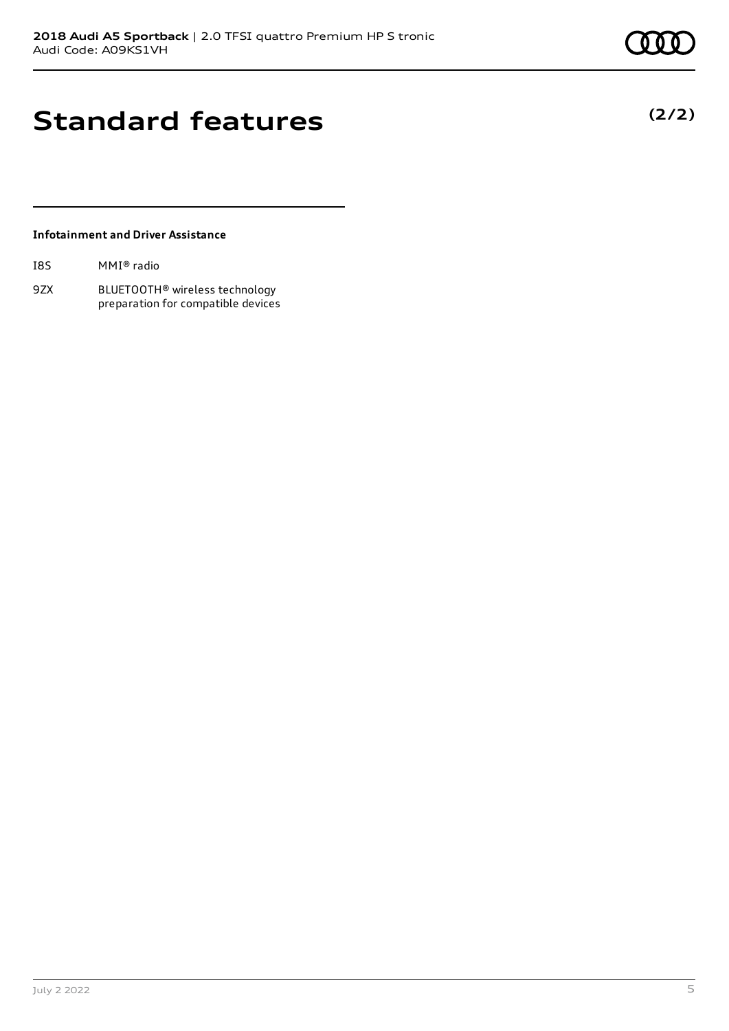# **Standard features**

## **Infotainment and Driver Assistance**

| I8S | MMI® radio |  |
|-----|------------|--|
|     |            |  |

9ZX BLUETOOTH® wireless technology preparation for compatible devices **(2/2)**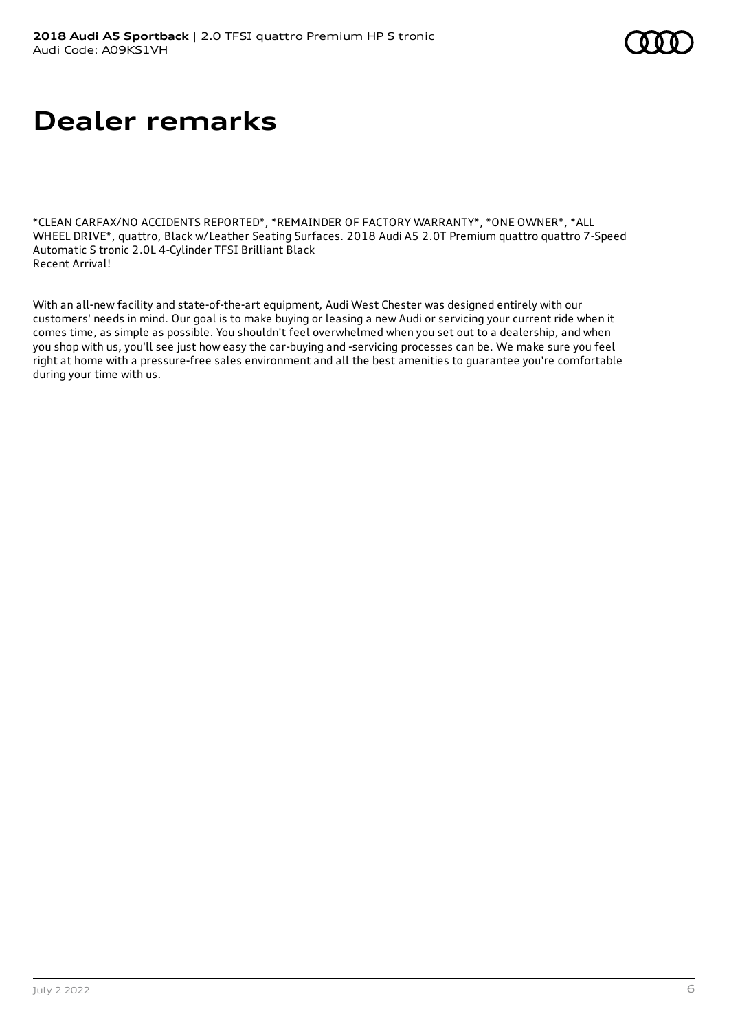## **Dealer remarks**

\*CLEAN CARFAX/NO ACCIDENTS REPORTED\*, \*REMAINDER OF FACTORY WARRANTY\*, \*ONE OWNER\*, \*ALL WHEEL DRIVE\*, quattro, Black w/Leather Seating Surfaces. 2018 Audi A5 2.0T Premium quattro quattro 7-Speed Automatic S tronic 2.0L 4-Cylinder TFSI Brilliant Black Recent Arrival!

With an all-new facility and state-of-the-art equipment, Audi West Chester was designed entirely with our customers' needs in mind. Our goal is to make buying or leasing a new Audi or servicing your current ride when it comes time, as simple as possible. You shouldn't feel overwhelmed when you set out to a dealership, and when you shop with us, you'll see just how easy the car-buying and -servicing processes can be. We make sure you feel right at home with a pressure-free sales environment and all the best amenities to guarantee you're comfortable during your time with us.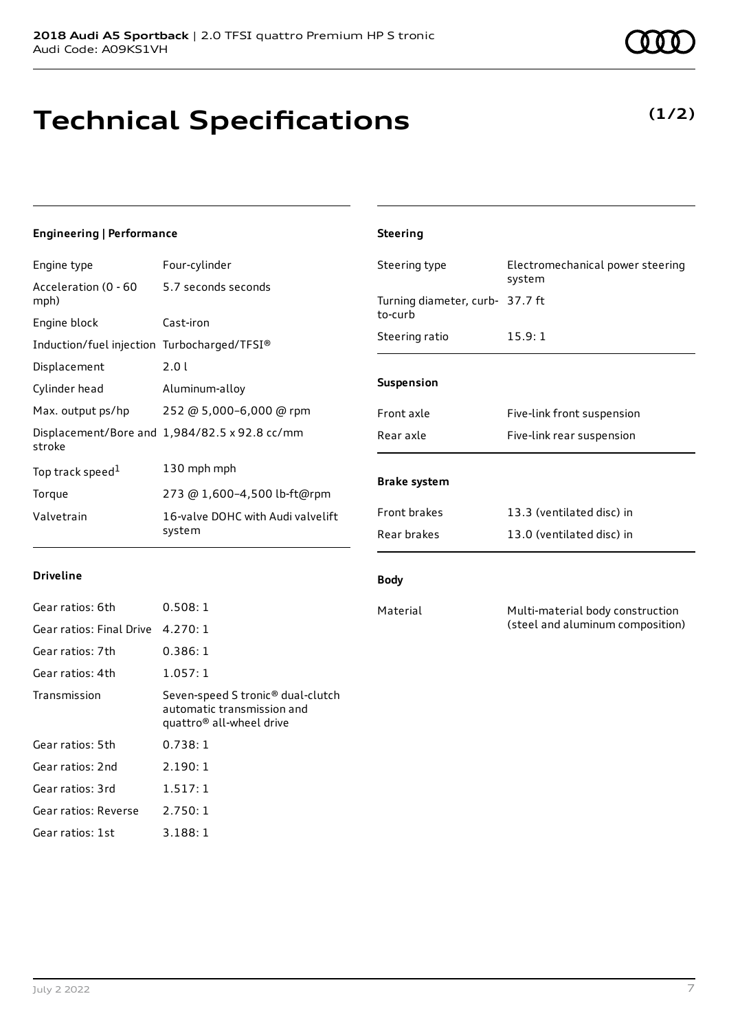# **Technical Specifications**

**Driveline**

## **Engineering | Performance**

Engine type Four-cylinder

| Acceleration (0 - 60<br>mph)                | 5.7 seconds seconds                           |
|---------------------------------------------|-----------------------------------------------|
| Engine block                                | Cast-iron                                     |
| Induction/fuel injection Turbocharged/TFSI® |                                               |
| Displacement                                | 2.01                                          |
| Cylinder head                               | Aluminum-alloy                                |
| Max. output ps/hp                           | 252 @ 5,000-6,000 @ rpm                       |
| stroke                                      | Displacement/Bore and 1,984/82.5 x 92.8 cc/mm |
| Top track speed <sup>1</sup>                | 130 mph mph                                   |
| Torque                                      | 273 @ 1,600-4,500 lb-ft@rpm                   |
| Valvetrain                                  | 16-valve DOHC with Audi valvelift<br>system   |

## Steering type Electromechanical power steering system Turning diameter, curb-37.7 ft to-curb Steering ratio 15.9:1 **Suspension** Front axle Five-link front suspension Rear axle Five-link rear suspension **Brake system** Front brakes 13.3 (ventilated disc) in Rear brakes 13.0 (ventilated disc) in

### **Body**

**Steering**

Material Multi-material body construction (steel and aluminum composition)

| Gear ratios: 6th         | 0.508:1                                                                                                 |
|--------------------------|---------------------------------------------------------------------------------------------------------|
| Gear ratios: Final Drive | 4.270:1                                                                                                 |
| Gear ratios: 7th         | 0.386:1                                                                                                 |
| Gear ratios: 4th         | 1.057:1                                                                                                 |
| Transmission             | Seven-speed S tronic® dual-clutch<br>automatic transmission and<br>quattro <sup>®</sup> all-wheel drive |
| Gear ratios: 5th         | 0.738:1                                                                                                 |
| Gear ratios: 2nd         | 2.190:1                                                                                                 |
| Gear ratios: 3rd         | 1.517:1                                                                                                 |
| Gear ratios: Reverse     | 2.750:1                                                                                                 |
| Gear ratios: 1st         | 3.188:1                                                                                                 |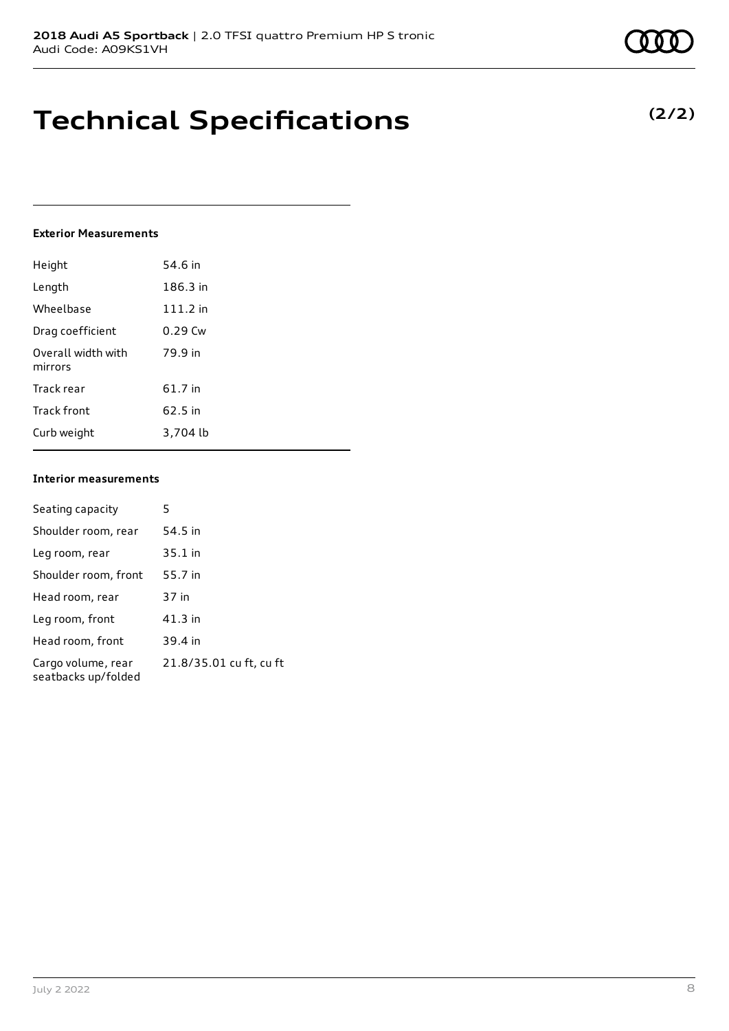### **Exterior Measurements**

| Height                        | 54.6 in    |
|-------------------------------|------------|
| Length                        | 186.3 in   |
| Wheelbase                     | $111.2$ in |
| Drag coefficient              | $0.29$ Cw  |
| Overall width with<br>mirrors | 79.9 in    |
| Track rear                    | 61.7 in    |
| Track front                   | 62.5 in    |
| Curb weight                   | 3.704 lb   |

### **Interior measurements**

| Seating capacity                          | 5                       |
|-------------------------------------------|-------------------------|
| Shoulder room, rear                       | 54.5 in                 |
| Leg room, rear                            | $35.1$ in               |
| Shoulder room, front                      | 55.7 in                 |
| Head room, rear                           | 37 in                   |
| Leg room, front                           | 41.3 in                 |
| Head room, front                          | 39.4 in                 |
| Cargo volume, rear<br>seatbacks up/folded | 21.8/35.01 cu ft, cu ft |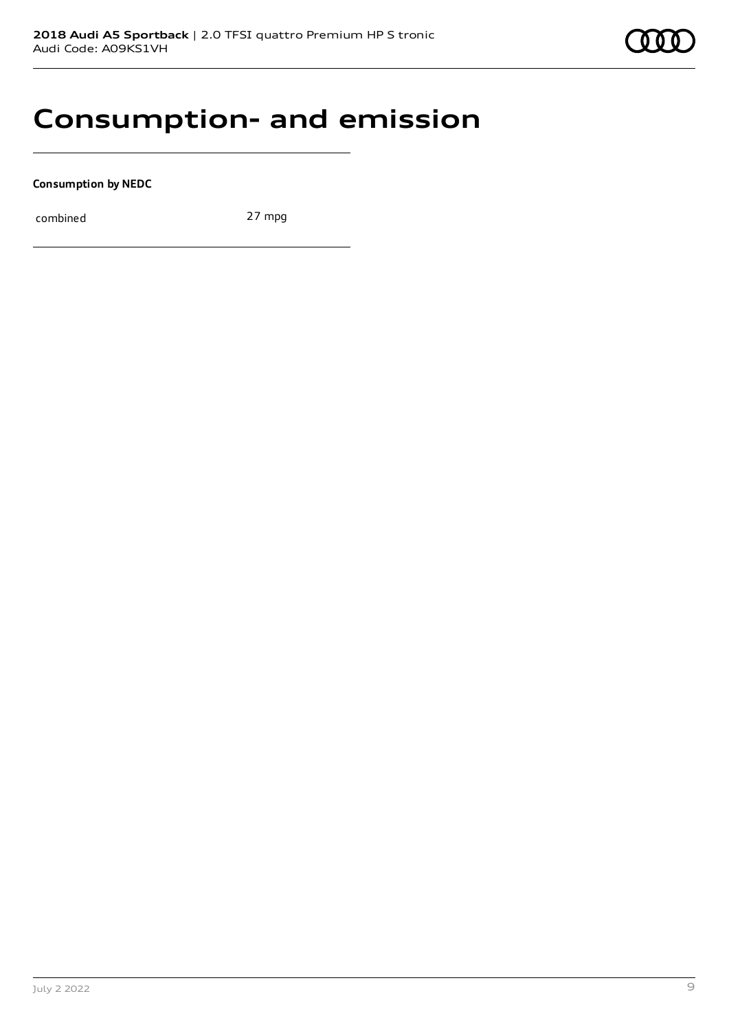

## **Consumption- and emission**

**Consumption by NEDC**

combined 27 mpg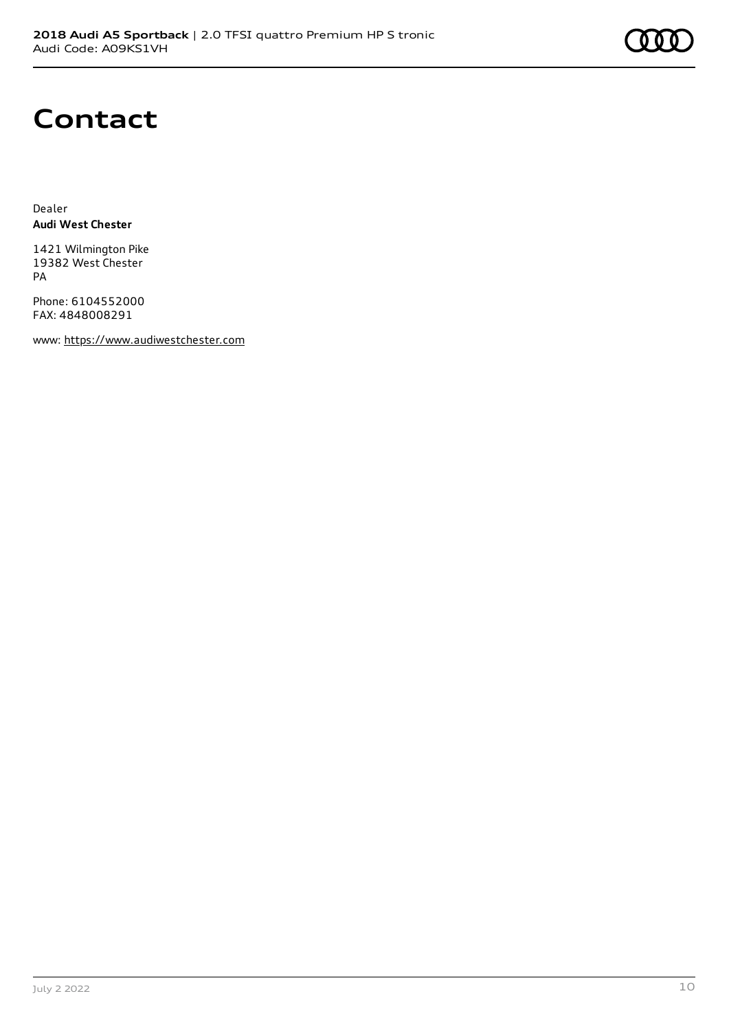

## **Contact**

Dealer **Audi West Chester**

1421 Wilmington Pike 19382 West Chester PA

Phone: 6104552000 FAX: 4848008291

www: [https://www.audiwestchester.com](https://www.audiwestchester.com/)